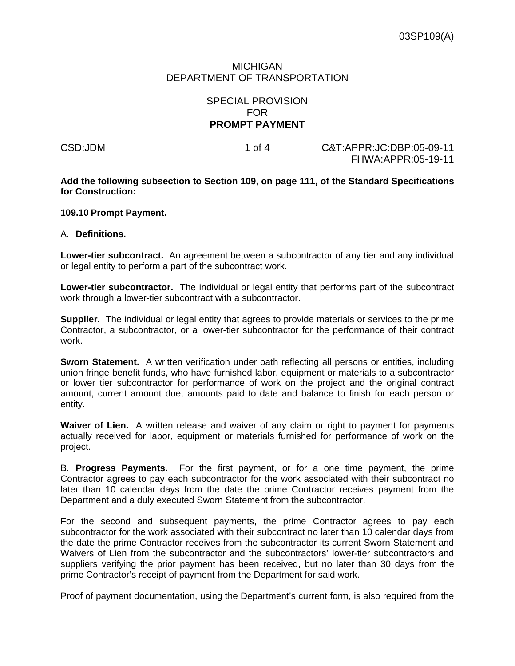## MICHIGAN DEPARTMENT OF TRANSPORTATION

## SPECIAL PROVISION FOR **PROMPT PAYMENT**

CSD:JDM 1 of 4 C&T:APPR:JC:DBP:05-09-11 FHWA:APPR:05-19-11

**Add the following subsection to Section 109, on page 111, of the Standard Specifications for Construction:** 

## **109.10 Prompt Payment.**

## A. **Definitions.**

**Lower-tier subcontract.** An agreement between a subcontractor of any tier and any individual or legal entity to perform a part of the subcontract work.

**Lower-tier subcontractor.** The individual or legal entity that performs part of the subcontract work through a lower-tier subcontract with a subcontractor.

**Supplier.** The individual or legal entity that agrees to provide materials or services to the prime Contractor, a subcontractor, or a lower-tier subcontractor for the performance of their contract work.

**Sworn Statement.** A written verification under oath reflecting all persons or entities, including union fringe benefit funds, who have furnished labor, equipment or materials to a subcontractor or lower tier subcontractor for performance of work on the project and the original contract amount, current amount due, amounts paid to date and balance to finish for each person or entity.

**Waiver of Lien.** A written release and waiver of any claim or right to payment for payments actually received for labor, equipment or materials furnished for performance of work on the project.

B. **Progress Payments.** For the first payment, or for a one time payment, the prime Contractor agrees to pay each subcontractor for the work associated with their subcontract no later than 10 calendar days from the date the prime Contractor receives payment from the Department and a duly executed Sworn Statement from the subcontractor.

For the second and subsequent payments, the prime Contractor agrees to pay each subcontractor for the work associated with their subcontract no later than 10 calendar days from the date the prime Contractor receives from the subcontractor its current Sworn Statement and Waivers of Lien from the subcontractor and the subcontractors' lower-tier subcontractors and suppliers verifying the prior payment has been received, but no later than 30 days from the prime Contractor's receipt of payment from the Department for said work.

Proof of payment documentation, using the Department's current form, is also required from the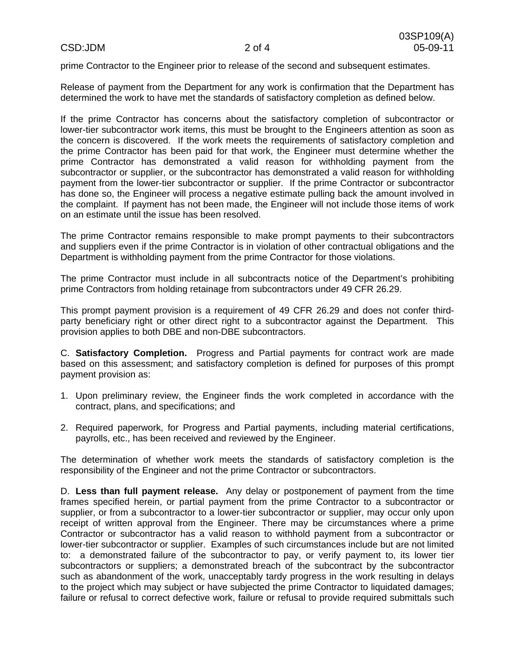prime Contractor to the Engineer prior to release of the second and subsequent estimates.

Release of payment from the Department for any work is confirmation that the Department has determined the work to have met the standards of satisfactory completion as defined below.

If the prime Contractor has concerns about the satisfactory completion of subcontractor or lower-tier subcontractor work items, this must be brought to the Engineers attention as soon as the concern is discovered. If the work meets the requirements of satisfactory completion and the prime Contractor has been paid for that work, the Engineer must determine whether the prime Contractor has demonstrated a valid reason for withholding payment from the subcontractor or supplier, or the subcontractor has demonstrated a valid reason for withholding payment from the lower-tier subcontractor or supplier. If the prime Contractor or subcontractor has done so, the Engineer will process a negative estimate pulling back the amount involved in the complaint. If payment has not been made, the Engineer will not include those items of work on an estimate until the issue has been resolved.

The prime Contractor remains responsible to make prompt payments to their subcontractors and suppliers even if the prime Contractor is in violation of other contractual obligations and the Department is withholding payment from the prime Contractor for those violations.

The prime Contractor must include in all subcontracts notice of the Department's prohibiting prime Contractors from holding retainage from subcontractors under 49 CFR 26.29.

This prompt payment provision is a requirement of 49 CFR 26.29 and does not confer thirdparty beneficiary right or other direct right to a subcontractor against the Department. This provision applies to both DBE and non-DBE subcontractors.

C. **Satisfactory Completion.** Progress and Partial payments for contract work are made based on this assessment; and satisfactory completion is defined for purposes of this prompt payment provision as:

- 1. Upon preliminary review, the Engineer finds the work completed in accordance with the contract, plans, and specifications; and
- 2. Required paperwork, for Progress and Partial payments, including material certifications, payrolls, etc., has been received and reviewed by the Engineer.

The determination of whether work meets the standards of satisfactory completion is the responsibility of the Engineer and not the prime Contractor or subcontractors.

D. **Less than full payment release.** Any delay or postponement of payment from the time frames specified herein, or partial payment from the prime Contractor to a subcontractor or supplier, or from a subcontractor to a lower-tier subcontractor or supplier, may occur only upon receipt of written approval from the Engineer. There may be circumstances where a prime Contractor or subcontractor has a valid reason to withhold payment from a subcontractor or lower-tier subcontractor or supplier. Examples of such circumstances include but are not limited to: a demonstrated failure of the subcontractor to pay, or verify payment to, its lower tier subcontractors or suppliers; a demonstrated breach of the subcontract by the subcontractor such as abandonment of the work, unacceptably tardy progress in the work resulting in delays to the project which may subject or have subjected the prime Contractor to liquidated damages; failure or refusal to correct defective work, failure or refusal to provide required submittals such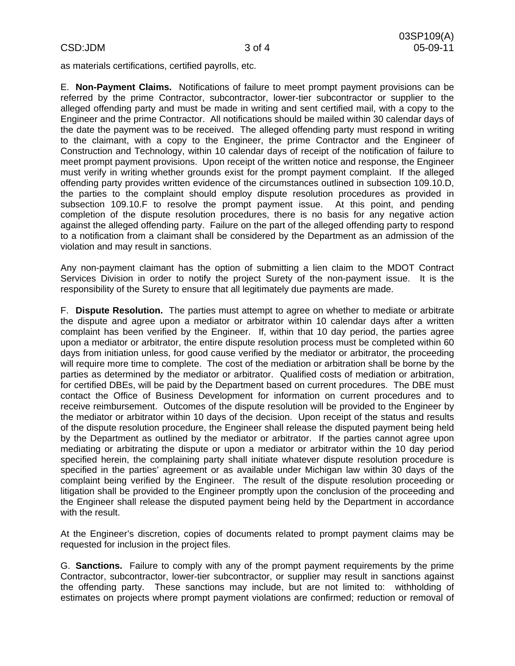as materials certifications, certified payrolls, etc.

E. **Non-Payment Claims.** Notifications of failure to meet prompt payment provisions can be referred by the prime Contractor, subcontractor, lower-tier subcontractor or supplier to the alleged offending party and must be made in writing and sent certified mail, with a copy to the Engineer and the prime Contractor. All notifications should be mailed within 30 calendar days of the date the payment was to be received. The alleged offending party must respond in writing to the claimant, with a copy to the Engineer, the prime Contractor and the Engineer of Construction and Technology, within 10 calendar days of receipt of the notification of failure to meet prompt payment provisions. Upon receipt of the written notice and response, the Engineer must verify in writing whether grounds exist for the prompt payment complaint. If the alleged offending party provides written evidence of the circumstances outlined in subsection 109.10.D, the parties to the complaint should employ dispute resolution procedures as provided in subsection 109.10.F to resolve the prompt payment issue. At this point, and pending completion of the dispute resolution procedures, there is no basis for any negative action against the alleged offending party. Failure on the part of the alleged offending party to respond to a notification from a claimant shall be considered by the Department as an admission of the violation and may result in sanctions.

Any non-payment claimant has the option of submitting a lien claim to the MDOT Contract Services Division in order to notify the project Surety of the non-payment issue. It is the responsibility of the Surety to ensure that all legitimately due payments are made.

F. **Dispute Resolution.** The parties must attempt to agree on whether to mediate or arbitrate the dispute and agree upon a mediator or arbitrator within 10 calendar days after a written complaint has been verified by the Engineer. If, within that 10 day period, the parties agree upon a mediator or arbitrator, the entire dispute resolution process must be completed within 60 days from initiation unless, for good cause verified by the mediator or arbitrator, the proceeding will require more time to complete. The cost of the mediation or arbitration shall be borne by the parties as determined by the mediator or arbitrator. Qualified costs of mediation or arbitration, for certified DBEs, will be paid by the Department based on current procedures. The DBE must contact the Office of Business Development for information on current procedures and to receive reimbursement. Outcomes of the dispute resolution will be provided to the Engineer by the mediator or arbitrator within 10 days of the decision. Upon receipt of the status and results of the dispute resolution procedure, the Engineer shall release the disputed payment being held by the Department as outlined by the mediator or arbitrator. If the parties cannot agree upon mediating or arbitrating the dispute or upon a mediator or arbitrator within the 10 day period specified herein, the complaining party shall initiate whatever dispute resolution procedure is specified in the parties' agreement or as available under Michigan law within 30 days of the complaint being verified by the Engineer. The result of the dispute resolution proceeding or litigation shall be provided to the Engineer promptly upon the conclusion of the proceeding and the Engineer shall release the disputed payment being held by the Department in accordance with the result.

At the Engineer's discretion, copies of documents related to prompt payment claims may be requested for inclusion in the project files.

G. **Sanctions.** Failure to comply with any of the prompt payment requirements by the prime Contractor, subcontractor, lower-tier subcontractor, or supplier may result in sanctions against the offending party. These sanctions may include, but are not limited to: withholding of estimates on projects where prompt payment violations are confirmed; reduction or removal of